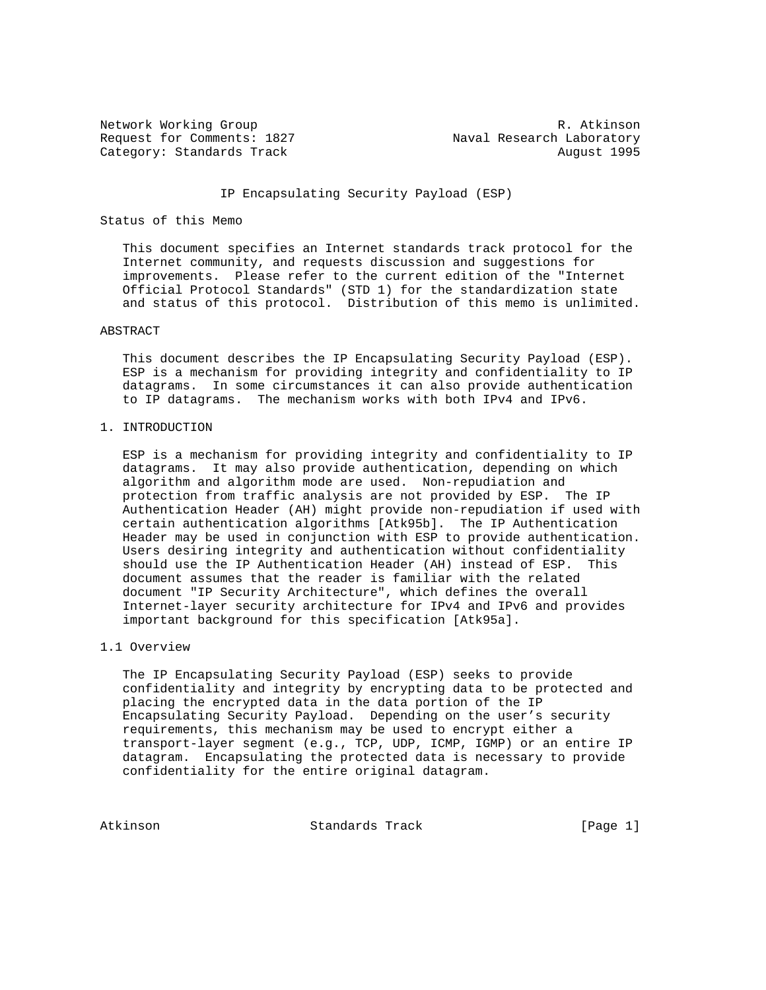Request for Comments: 1827 Maval Research Laboratory Category: Standards Track August 1995

Network Working Group and the set of the set of the set of the R. Atkinson

### IP Encapsulating Security Payload (ESP)

#### Status of this Memo

 This document specifies an Internet standards track protocol for the Internet community, and requests discussion and suggestions for improvements. Please refer to the current edition of the "Internet Official Protocol Standards" (STD 1) for the standardization state and status of this protocol. Distribution of this memo is unlimited.

#### ABSTRACT

 This document describes the IP Encapsulating Security Payload (ESP). ESP is a mechanism for providing integrity and confidentiality to IP datagrams. In some circumstances it can also provide authentication to IP datagrams. The mechanism works with both IPv4 and IPv6.

1. INTRODUCTION

 ESP is a mechanism for providing integrity and confidentiality to IP datagrams. It may also provide authentication, depending on which algorithm and algorithm mode are used. Non-repudiation and protection from traffic analysis are not provided by ESP. The IP Authentication Header (AH) might provide non-repudiation if used with certain authentication algorithms [Atk95b]. The IP Authentication Header may be used in conjunction with ESP to provide authentication. Users desiring integrity and authentication without confidentiality should use the IP Authentication Header (AH) instead of ESP. This document assumes that the reader is familiar with the related document "IP Security Architecture", which defines the overall Internet-layer security architecture for IPv4 and IPv6 and provides important background for this specification [Atk95a].

### 1.1 Overview

 The IP Encapsulating Security Payload (ESP) seeks to provide confidentiality and integrity by encrypting data to be protected and placing the encrypted data in the data portion of the IP Encapsulating Security Payload. Depending on the user's security requirements, this mechanism may be used to encrypt either a transport-layer segment (e.g., TCP, UDP, ICMP, IGMP) or an entire IP datagram. Encapsulating the protected data is necessary to provide confidentiality for the entire original datagram.

Atkinson Standards Track [Page 1]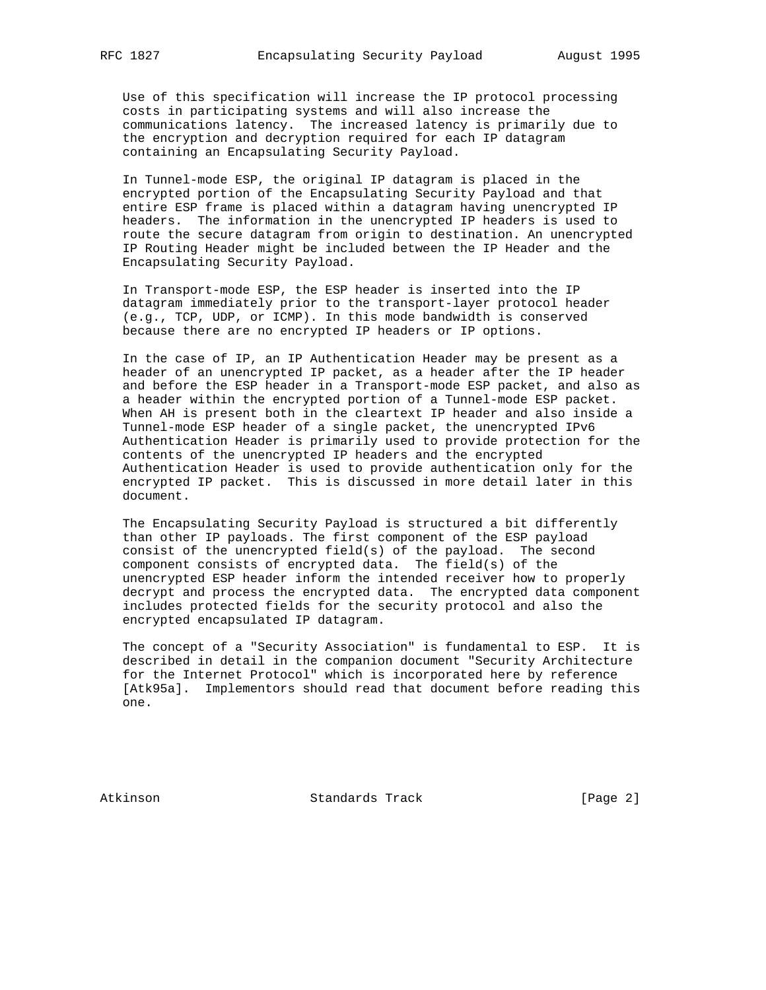Use of this specification will increase the IP protocol processing costs in participating systems and will also increase the communications latency. The increased latency is primarily due to the encryption and decryption required for each IP datagram containing an Encapsulating Security Payload.

 In Tunnel-mode ESP, the original IP datagram is placed in the encrypted portion of the Encapsulating Security Payload and that entire ESP frame is placed within a datagram having unencrypted IP headers. The information in the unencrypted IP headers is used to route the secure datagram from origin to destination. An unencrypted IP Routing Header might be included between the IP Header and the Encapsulating Security Payload.

 In Transport-mode ESP, the ESP header is inserted into the IP datagram immediately prior to the transport-layer protocol header (e.g., TCP, UDP, or ICMP). In this mode bandwidth is conserved because there are no encrypted IP headers or IP options.

 In the case of IP, an IP Authentication Header may be present as a header of an unencrypted IP packet, as a header after the IP header and before the ESP header in a Transport-mode ESP packet, and also as a header within the encrypted portion of a Tunnel-mode ESP packet. When AH is present both in the cleartext IP header and also inside a Tunnel-mode ESP header of a single packet, the unencrypted IPv6 Authentication Header is primarily used to provide protection for the contents of the unencrypted IP headers and the encrypted Authentication Header is used to provide authentication only for the encrypted IP packet. This is discussed in more detail later in this document.

 The Encapsulating Security Payload is structured a bit differently than other IP payloads. The first component of the ESP payload consist of the unencrypted field(s) of the payload. The second component consists of encrypted data. The field(s) of the unencrypted ESP header inform the intended receiver how to properly decrypt and process the encrypted data. The encrypted data component includes protected fields for the security protocol and also the encrypted encapsulated IP datagram.

 The concept of a "Security Association" is fundamental to ESP. It is described in detail in the companion document "Security Architecture for the Internet Protocol" which is incorporated here by reference [Atk95a]. Implementors should read that document before reading this one.

Atkinson Standards Track [Page 2]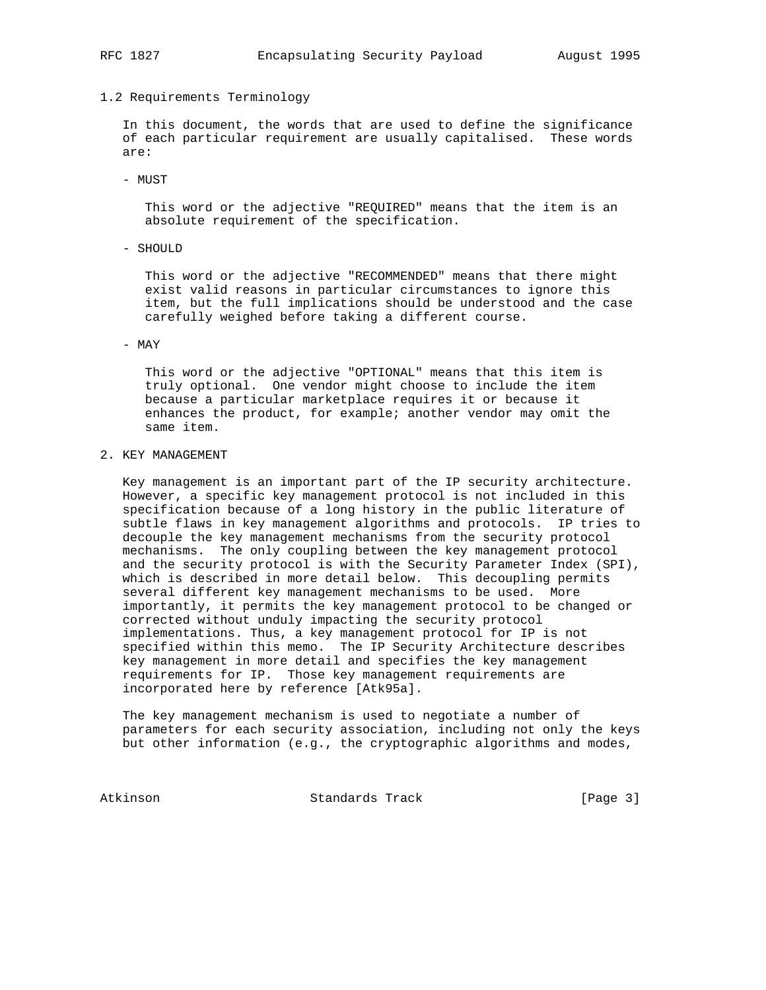### 1.2 Requirements Terminology

 In this document, the words that are used to define the significance of each particular requirement are usually capitalised. These words are:

- MUST

 This word or the adjective "REQUIRED" means that the item is an absolute requirement of the specification.

- SHOULD

 This word or the adjective "RECOMMENDED" means that there might exist valid reasons in particular circumstances to ignore this item, but the full implications should be understood and the case carefully weighed before taking a different course.

#### - MAY

 This word or the adjective "OPTIONAL" means that this item is truly optional. One vendor might choose to include the item because a particular marketplace requires it or because it enhances the product, for example; another vendor may omit the same item.

# 2. KEY MANAGEMENT

 Key management is an important part of the IP security architecture. However, a specific key management protocol is not included in this specification because of a long history in the public literature of subtle flaws in key management algorithms and protocols. IP tries to decouple the key management mechanisms from the security protocol mechanisms. The only coupling between the key management protocol and the security protocol is with the Security Parameter Index (SPI), which is described in more detail below. This decoupling permits several different key management mechanisms to be used. More importantly, it permits the key management protocol to be changed or corrected without unduly impacting the security protocol implementations. Thus, a key management protocol for IP is not specified within this memo. The IP Security Architecture describes key management in more detail and specifies the key management requirements for IP. Those key management requirements are incorporated here by reference [Atk95a].

 The key management mechanism is used to negotiate a number of parameters for each security association, including not only the keys but other information (e.g., the cryptographic algorithms and modes,

Atkinson **Standards Track** [Page 3]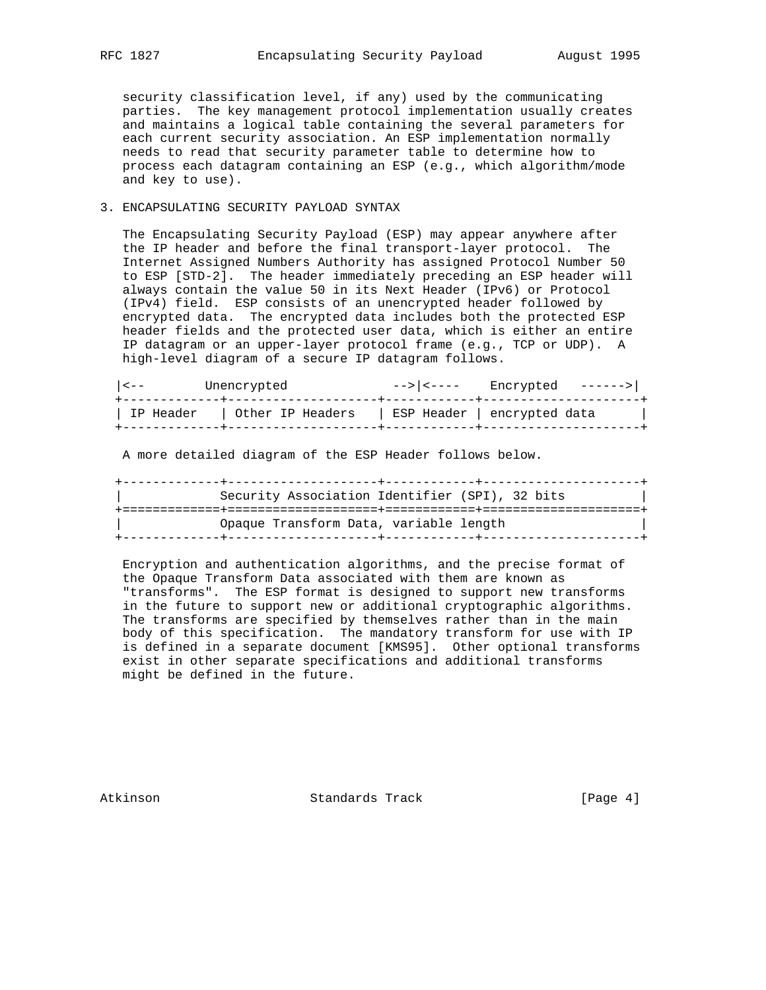security classification level, if any) used by the communicating parties. The key management protocol implementation usually creates and maintains a logical table containing the several parameters for each current security association. An ESP implementation normally needs to read that security parameter table to determine how to process each datagram containing an ESP (e.g., which algorithm/mode and key to use).

### 3. ENCAPSULATING SECURITY PAYLOAD SYNTAX

 The Encapsulating Security Payload (ESP) may appear anywhere after the IP header and before the final transport-layer protocol. The Internet Assigned Numbers Authority has assigned Protocol Number 50 to ESP [STD-2]. The header immediately preceding an ESP header will always contain the value 50 in its Next Header (IPv6) or Protocol (IPv4) field. ESP consists of an unencrypted header followed by encrypted data. The encrypted data includes both the protected ESP header fields and the protected user data, which is either an entire IP datagram or an upper-layer protocol frame (e.g., TCP or UDP). A high-level diagram of a secure IP datagram follows.

| ESP Header   encrypted data<br>IP Header   Other IP Headers |  |
|-------------------------------------------------------------|--|

A more detailed diagram of the ESP Header follows below.

 +-------------+--------------------+------------+---------------------+ | Security Association Identifier (SPI), 32 bits | +=============+====================+============+=====================+ | Opaque Transform Data, variable length | +-------------+--------------------+------------+---------------------+

 Encryption and authentication algorithms, and the precise format of the Opaque Transform Data associated with them are known as "transforms". The ESP format is designed to support new transforms in the future to support new or additional cryptographic algorithms. The transforms are specified by themselves rather than in the main body of this specification. The mandatory transform for use with IP is defined in a separate document [KMS95]. Other optional transforms exist in other separate specifications and additional transforms might be defined in the future.

Atkinson **Standards Track** [Page 4]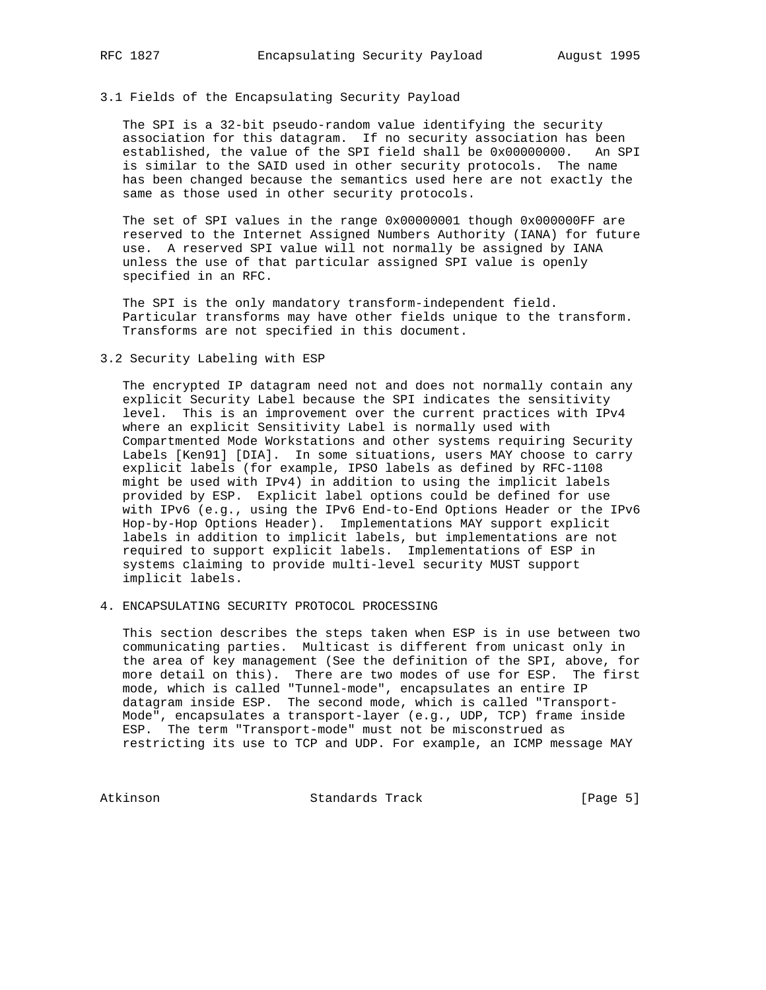### 3.1 Fields of the Encapsulating Security Payload

 The SPI is a 32-bit pseudo-random value identifying the security association for this datagram. If no security association has been established, the value of the SPI field shall be 0x00000000. An SPI is similar to the SAID used in other security protocols. The name has been changed because the semantics used here are not exactly the same as those used in other security protocols.

 The set of SPI values in the range 0x00000001 though 0x000000FF are reserved to the Internet Assigned Numbers Authority (IANA) for future use. A reserved SPI value will not normally be assigned by IANA unless the use of that particular assigned SPI value is openly specified in an RFC.

 The SPI is the only mandatory transform-independent field. Particular transforms may have other fields unique to the transform. Transforms are not specified in this document.

3.2 Security Labeling with ESP

 The encrypted IP datagram need not and does not normally contain any explicit Security Label because the SPI indicates the sensitivity level. This is an improvement over the current practices with IPv4 where an explicit Sensitivity Label is normally used with Compartmented Mode Workstations and other systems requiring Security Labels [Ken91] [DIA]. In some situations, users MAY choose to carry explicit labels (for example, IPSO labels as defined by RFC-1108 might be used with IPv4) in addition to using the implicit labels provided by ESP. Explicit label options could be defined for use with IPv6 (e.g., using the IPv6 End-to-End Options Header or the IPv6 Hop-by-Hop Options Header). Implementations MAY support explicit labels in addition to implicit labels, but implementations are not required to support explicit labels. Implementations of ESP in systems claiming to provide multi-level security MUST support implicit labels.

4. ENCAPSULATING SECURITY PROTOCOL PROCESSING

 This section describes the steps taken when ESP is in use between two communicating parties. Multicast is different from unicast only in the area of key management (See the definition of the SPI, above, for more detail on this). There are two modes of use for ESP. The first mode, which is called "Tunnel-mode", encapsulates an entire IP datagram inside ESP. The second mode, which is called "Transport- Mode", encapsulates a transport-layer (e.g., UDP, TCP) frame inside ESP. The term "Transport-mode" must not be misconstrued as restricting its use to TCP and UDP. For example, an ICMP message MAY

Atkinson Standards Track [Page 5]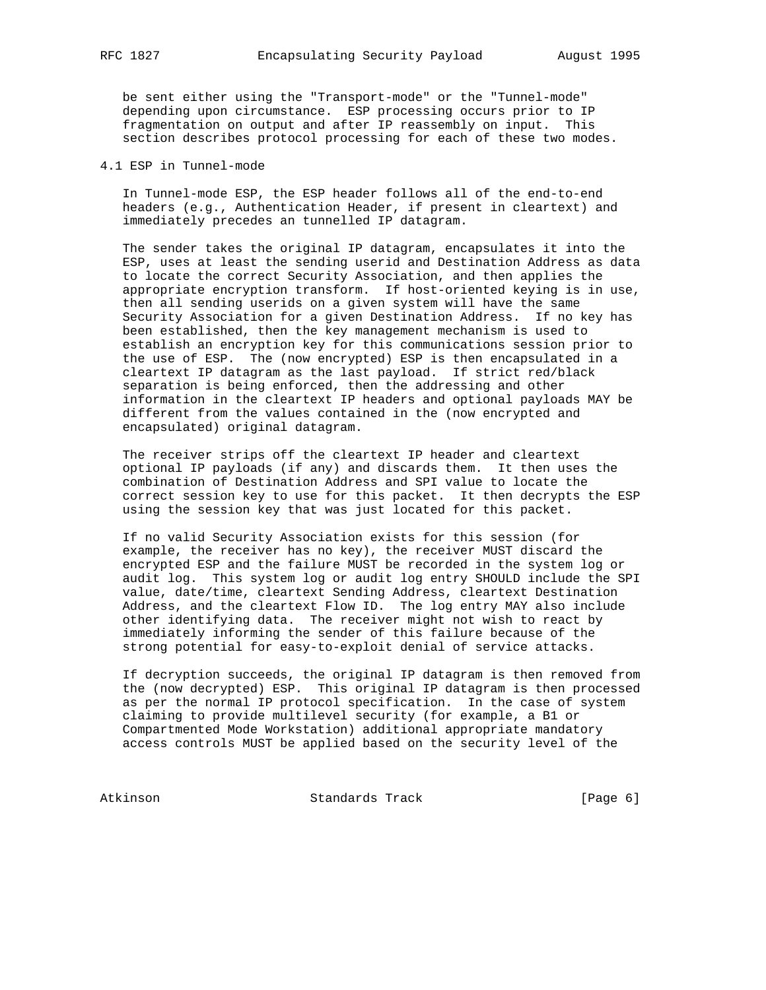be sent either using the "Transport-mode" or the "Tunnel-mode" depending upon circumstance. ESP processing occurs prior to IP fragmentation on output and after IP reassembly on input. This section describes protocol processing for each of these two modes.

# 4.1 ESP in Tunnel-mode

 In Tunnel-mode ESP, the ESP header follows all of the end-to-end headers (e.g., Authentication Header, if present in cleartext) and immediately precedes an tunnelled IP datagram.

 The sender takes the original IP datagram, encapsulates it into the ESP, uses at least the sending userid and Destination Address as data to locate the correct Security Association, and then applies the appropriate encryption transform. If host-oriented keying is in use, then all sending userids on a given system will have the same Security Association for a given Destination Address. If no key has been established, then the key management mechanism is used to establish an encryption key for this communications session prior to the use of ESP. The (now encrypted) ESP is then encapsulated in a cleartext IP datagram as the last payload. If strict red/black separation is being enforced, then the addressing and other information in the cleartext IP headers and optional payloads MAY be different from the values contained in the (now encrypted and encapsulated) original datagram.

 The receiver strips off the cleartext IP header and cleartext optional IP payloads (if any) and discards them. It then uses the combination of Destination Address and SPI value to locate the correct session key to use for this packet. It then decrypts the ESP using the session key that was just located for this packet.

 If no valid Security Association exists for this session (for example, the receiver has no key), the receiver MUST discard the encrypted ESP and the failure MUST be recorded in the system log or audit log. This system log or audit log entry SHOULD include the SPI value, date/time, cleartext Sending Address, cleartext Destination Address, and the cleartext Flow ID. The log entry MAY also include other identifying data. The receiver might not wish to react by immediately informing the sender of this failure because of the strong potential for easy-to-exploit denial of service attacks.

 If decryption succeeds, the original IP datagram is then removed from the (now decrypted) ESP. This original IP datagram is then processed as per the normal IP protocol specification. In the case of system claiming to provide multilevel security (for example, a B1 or Compartmented Mode Workstation) additional appropriate mandatory access controls MUST be applied based on the security level of the

Atkinson Standards Track [Page 6]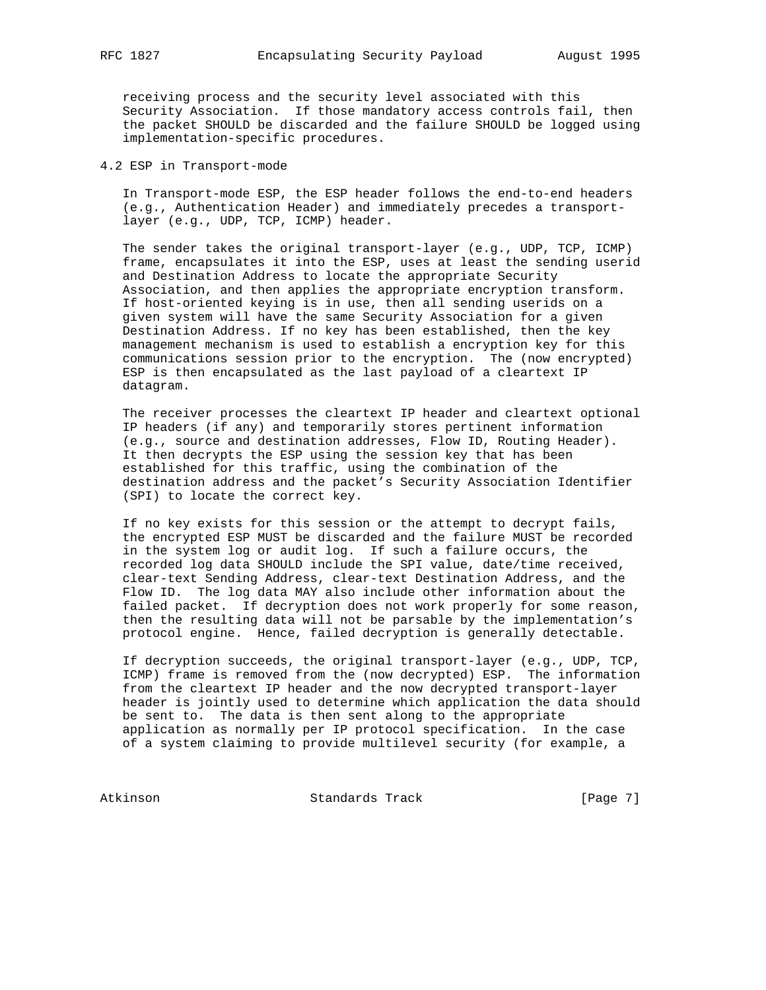receiving process and the security level associated with this Security Association. If those mandatory access controls fail, then the packet SHOULD be discarded and the failure SHOULD be logged using implementation-specific procedures.

4.2 ESP in Transport-mode

 In Transport-mode ESP, the ESP header follows the end-to-end headers (e.g., Authentication Header) and immediately precedes a transport layer (e.g., UDP, TCP, ICMP) header.

 The sender takes the original transport-layer (e.g., UDP, TCP, ICMP) frame, encapsulates it into the ESP, uses at least the sending userid and Destination Address to locate the appropriate Security Association, and then applies the appropriate encryption transform. If host-oriented keying is in use, then all sending userids on a given system will have the same Security Association for a given Destination Address. If no key has been established, then the key management mechanism is used to establish a encryption key for this communications session prior to the encryption. The (now encrypted) ESP is then encapsulated as the last payload of a cleartext IP datagram.

 The receiver processes the cleartext IP header and cleartext optional IP headers (if any) and temporarily stores pertinent information (e.g., source and destination addresses, Flow ID, Routing Header). It then decrypts the ESP using the session key that has been established for this traffic, using the combination of the destination address and the packet's Security Association Identifier (SPI) to locate the correct key.

 If no key exists for this session or the attempt to decrypt fails, the encrypted ESP MUST be discarded and the failure MUST be recorded in the system log or audit log. If such a failure occurs, the recorded log data SHOULD include the SPI value, date/time received, clear-text Sending Address, clear-text Destination Address, and the Flow ID. The log data MAY also include other information about the failed packet. If decryption does not work properly for some reason, then the resulting data will not be parsable by the implementation's protocol engine. Hence, failed decryption is generally detectable.

 If decryption succeeds, the original transport-layer (e.g., UDP, TCP, ICMP) frame is removed from the (now decrypted) ESP. The information from the cleartext IP header and the now decrypted transport-layer header is jointly used to determine which application the data should be sent to. The data is then sent along to the appropriate application as normally per IP protocol specification. In the case of a system claiming to provide multilevel security (for example, a

Atkinson Standards Track [Page 7]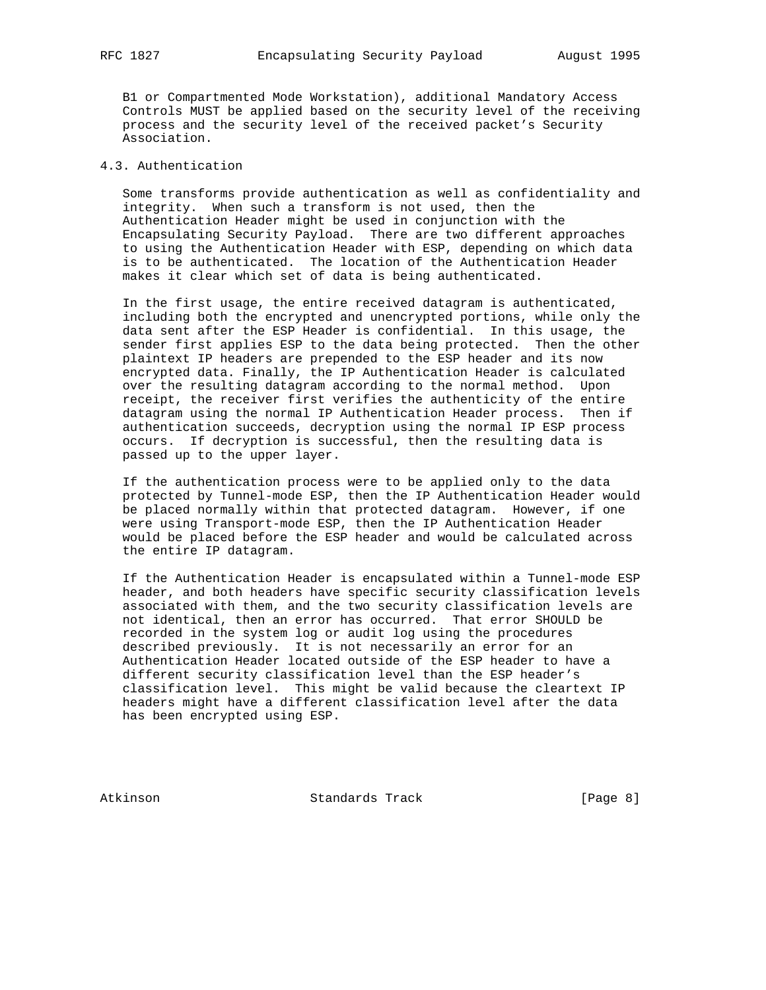B1 or Compartmented Mode Workstation), additional Mandatory Access Controls MUST be applied based on the security level of the receiving process and the security level of the received packet's Security Association.

#### 4.3. Authentication

 Some transforms provide authentication as well as confidentiality and integrity. When such a transform is not used, then the Authentication Header might be used in conjunction with the Encapsulating Security Payload. There are two different approaches to using the Authentication Header with ESP, depending on which data is to be authenticated. The location of the Authentication Header makes it clear which set of data is being authenticated.

 In the first usage, the entire received datagram is authenticated, including both the encrypted and unencrypted portions, while only the data sent after the ESP Header is confidential. In this usage, the sender first applies ESP to the data being protected. Then the other plaintext IP headers are prepended to the ESP header and its now encrypted data. Finally, the IP Authentication Header is calculated over the resulting datagram according to the normal method. Upon receipt, the receiver first verifies the authenticity of the entire datagram using the normal IP Authentication Header process. Then if authentication succeeds, decryption using the normal IP ESP process occurs. If decryption is successful, then the resulting data is passed up to the upper layer.

 If the authentication process were to be applied only to the data protected by Tunnel-mode ESP, then the IP Authentication Header would be placed normally within that protected datagram. However, if one were using Transport-mode ESP, then the IP Authentication Header would be placed before the ESP header and would be calculated across the entire IP datagram.

 If the Authentication Header is encapsulated within a Tunnel-mode ESP header, and both headers have specific security classification levels associated with them, and the two security classification levels are not identical, then an error has occurred. That error SHOULD be recorded in the system log or audit log using the procedures described previously. It is not necessarily an error for an Authentication Header located outside of the ESP header to have a different security classification level than the ESP header's classification level. This might be valid because the cleartext IP headers might have a different classification level after the data has been encrypted using ESP.

Atkinson **Standards Track** [Page 8]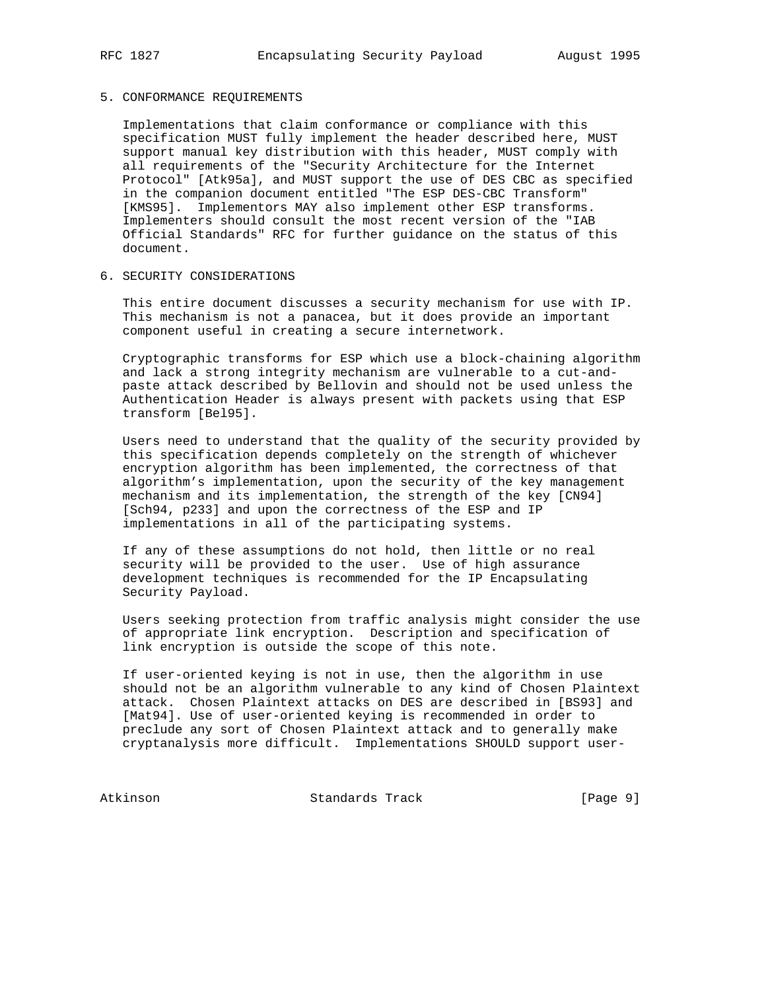## 5. CONFORMANCE REQUIREMENTS

 Implementations that claim conformance or compliance with this specification MUST fully implement the header described here, MUST support manual key distribution with this header, MUST comply with all requirements of the "Security Architecture for the Internet Protocol" [Atk95a], and MUST support the use of DES CBC as specified in the companion document entitled "The ESP DES-CBC Transform" [KMS95]. Implementors MAY also implement other ESP transforms. Implementers should consult the most recent version of the "IAB Official Standards" RFC for further guidance on the status of this document.

#### 6. SECURITY CONSIDERATIONS

 This entire document discusses a security mechanism for use with IP. This mechanism is not a panacea, but it does provide an important component useful in creating a secure internetwork.

 Cryptographic transforms for ESP which use a block-chaining algorithm and lack a strong integrity mechanism are vulnerable to a cut-and paste attack described by Bellovin and should not be used unless the Authentication Header is always present with packets using that ESP transform [Bel95].

 Users need to understand that the quality of the security provided by this specification depends completely on the strength of whichever encryption algorithm has been implemented, the correctness of that algorithm's implementation, upon the security of the key management mechanism and its implementation, the strength of the key [CN94] [Sch94, p233] and upon the correctness of the ESP and IP implementations in all of the participating systems.

 If any of these assumptions do not hold, then little or no real security will be provided to the user. Use of high assurance development techniques is recommended for the IP Encapsulating Security Payload.

 Users seeking protection from traffic analysis might consider the use of appropriate link encryption. Description and specification of link encryption is outside the scope of this note.

 If user-oriented keying is not in use, then the algorithm in use should not be an algorithm vulnerable to any kind of Chosen Plaintext attack. Chosen Plaintext attacks on DES are described in [BS93] and [Mat94]. Use of user-oriented keying is recommended in order to preclude any sort of Chosen Plaintext attack and to generally make cryptanalysis more difficult. Implementations SHOULD support user-

Atkinson Standards Track [Page 9]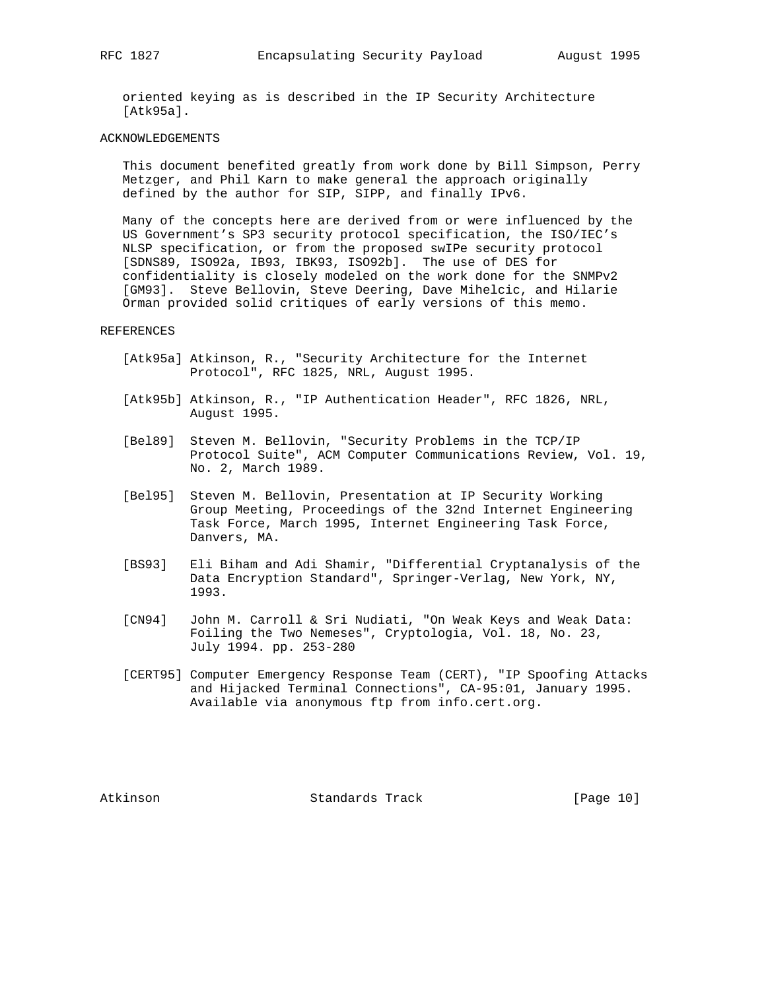oriented keying as is described in the IP Security Architecture [Atk95a].

#### ACKNOWLEDGEMENTS

 This document benefited greatly from work done by Bill Simpson, Perry Metzger, and Phil Karn to make general the approach originally defined by the author for SIP, SIPP, and finally IPv6.

 Many of the concepts here are derived from or were influenced by the US Government's SP3 security protocol specification, the ISO/IEC's NLSP specification, or from the proposed swIPe security protocol [SDNS89, ISO92a, IB93, IBK93, ISO92b]. The use of DES for confidentiality is closely modeled on the work done for the SNMPv2 [GM93]. Steve Bellovin, Steve Deering, Dave Mihelcic, and Hilarie Orman provided solid critiques of early versions of this memo.

#### REFERENCES

- [Atk95a] Atkinson, R., "Security Architecture for the Internet Protocol", RFC 1825, NRL, August 1995.
- [Atk95b] Atkinson, R., "IP Authentication Header", RFC 1826, NRL, August 1995.
- [Bel89] Steven M. Bellovin, "Security Problems in the TCP/IP Protocol Suite", ACM Computer Communications Review, Vol. 19, No. 2, March 1989.
- [Bel95] Steven M. Bellovin, Presentation at IP Security Working Group Meeting, Proceedings of the 32nd Internet Engineering Task Force, March 1995, Internet Engineering Task Force, Danvers, MA.
- [BS93] Eli Biham and Adi Shamir, "Differential Cryptanalysis of the Data Encryption Standard", Springer-Verlag, New York, NY, 1993.
- [CN94] John M. Carroll & Sri Nudiati, "On Weak Keys and Weak Data: Foiling the Two Nemeses", Cryptologia, Vol. 18, No. 23, July 1994. pp. 253-280
- [CERT95] Computer Emergency Response Team (CERT), "IP Spoofing Attacks and Hijacked Terminal Connections", CA-95:01, January 1995. Available via anonymous ftp from info.cert.org.

Atkinson Standards Track [Page 10]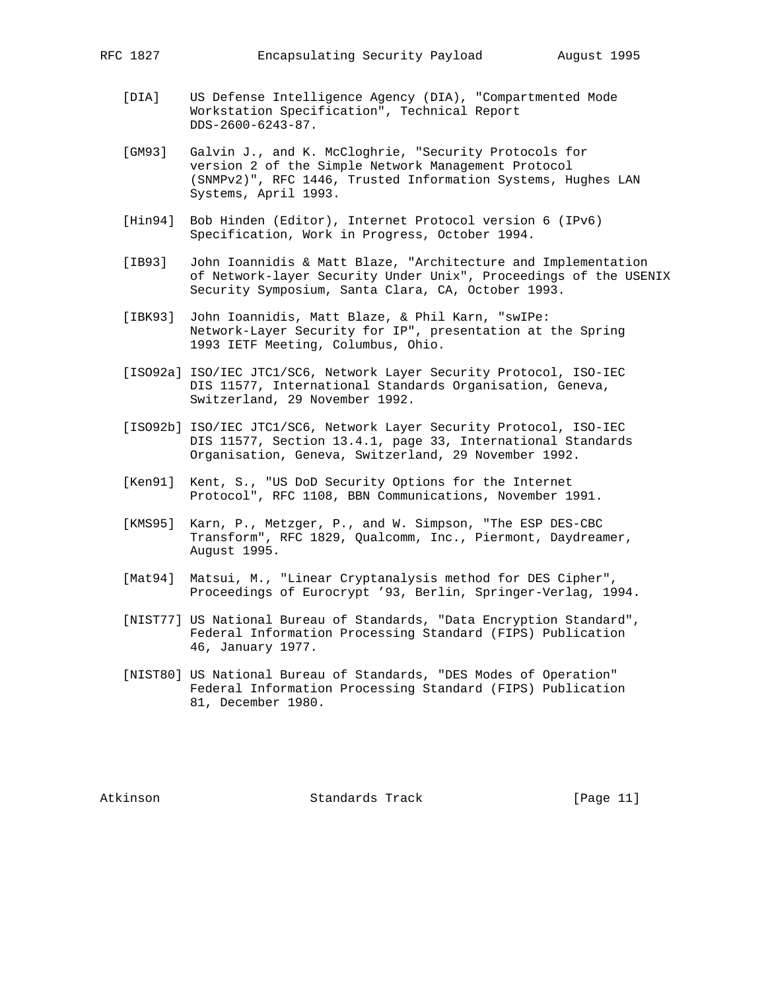- [DIA] US Defense Intelligence Agency (DIA), "Compartmented Mode Workstation Specification", Technical Report DDS-2600-6243-87.
- [GM93] Galvin J., and K. McCloghrie, "Security Protocols for version 2 of the Simple Network Management Protocol (SNMPv2)", RFC 1446, Trusted Information Systems, Hughes LAN Systems, April 1993.
- [Hin94] Bob Hinden (Editor), Internet Protocol version 6 (IPv6) Specification, Work in Progress, October 1994.
- [IB93] John Ioannidis & Matt Blaze, "Architecture and Implementation of Network-layer Security Under Unix", Proceedings of the USENIX Security Symposium, Santa Clara, CA, October 1993.
- [IBK93] John Ioannidis, Matt Blaze, & Phil Karn, "swIPe: Network-Layer Security for IP", presentation at the Spring 1993 IETF Meeting, Columbus, Ohio.
- [ISO92a] ISO/IEC JTC1/SC6, Network Layer Security Protocol, ISO-IEC DIS 11577, International Standards Organisation, Geneva, Switzerland, 29 November 1992.
- [ISO92b] ISO/IEC JTC1/SC6, Network Layer Security Protocol, ISO-IEC DIS 11577, Section 13.4.1, page 33, International Standards Organisation, Geneva, Switzerland, 29 November 1992.
- [Ken91] Kent, S., "US DoD Security Options for the Internet Protocol", RFC 1108, BBN Communications, November 1991.
- [KMS95] Karn, P., Metzger, P., and W. Simpson, "The ESP DES-CBC Transform", RFC 1829, Qualcomm, Inc., Piermont, Daydreamer, August 1995.
- [Mat94] Matsui, M., "Linear Cryptanalysis method for DES Cipher", Proceedings of Eurocrypt '93, Berlin, Springer-Verlag, 1994.
- [NIST77] US National Bureau of Standards, "Data Encryption Standard", Federal Information Processing Standard (FIPS) Publication 46, January 1977.
- [NIST80] US National Bureau of Standards, "DES Modes of Operation" Federal Information Processing Standard (FIPS) Publication 81, December 1980.

Atkinson Standards Track [Page 11]